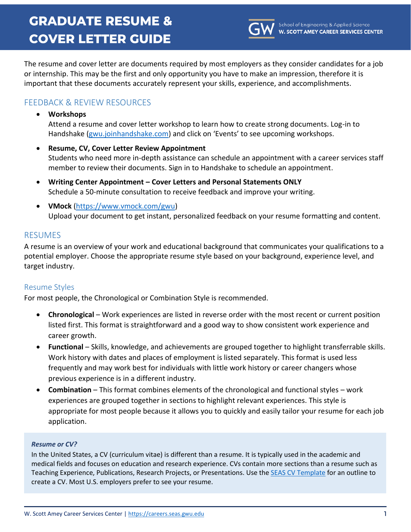# **GRADUATE RESUME & COVER LETTER GUIDE**



The resume and cover letter are documents required by most employers as they consider candidates for a job or internship. This may be the first and only opportunity you have to make an impression, therefore it is important that these documents accurately represent your skills, experience, and accomplishments.

## FEEDBACK & REVIEW RESOURCES

• **Workshops**

Attend a resume and cover letter workshop to learn how to create strong documents. Log-in to Handshake [\(gwu.joinhandshake.com](https://gwu.joinhandshake.com/)) and click on 'Events' to see upcoming workshops.

- **Resume, CV, Cover Letter Review Appointment** Students who need more in-depth assistance can schedule an appointment with a career services staff member to review their documents. Sign in to Handshake to schedule an appointment.
- **Writing Center Appointment – Cover Letters and Personal Statements ONLY** Schedule a 50-minute consultation to receive feedback and improve your writing.
- **VMock** [\(https://www.vmock.com/gwu\)](https://www.vmock.com/gwu) Upload your document to get instant, personalized feedback on your resume formatting and content.

## RESUMES

A resume is an overview of your work and educational background that communicates your qualifications to a potential employer. Choose the appropriate resume style based on your background, experience level, and target industry.

## Resume Styles

For most people, the Chronological or Combination Style is recommended.

- **Chronological** Work experiences are listed in reverse order with the most recent or current position listed first. This format is straightforward and a good way to show consistent work experience and career growth.
- **Functional** Skills, knowledge, and achievements are grouped together to highlight transferrable skills. Work history with dates and places of employment is listed separately. This format is used less frequently and may work best for individuals with little work history or career changers whose previous experience is in a different industry.
- **Combination** This format combines elements of the chronological and functional styles work experiences are grouped together in sections to highlight relevant experiences. This style is appropriate for most people because it allows you to quickly and easily tailor your resume for each job application.

#### *Resume or CV?*

In the United States, a CV (curriculum vitae) is different than a resume. It is typically used in the academic and medical fields and focuses on education and research experience. CVs contain more sections than a resume such as Teaching Experience, Publications, Research Projects, or Presentations. Use th[e SEAS CV Template](https://careers.seas.gwu.edu/resources/seas-cv-template/) for an outline to create a CV. Most U.S. employers prefer to see your resume.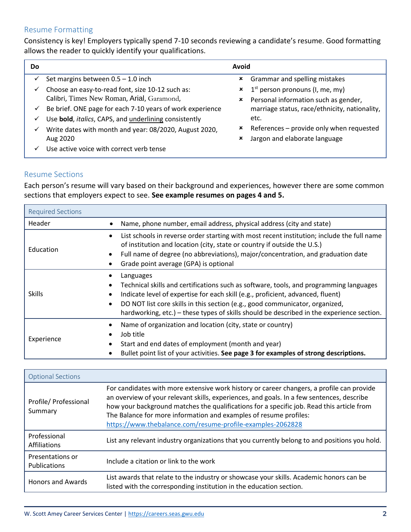## Resume Formatting

Consistency is key! Employers typically spend 7-10 seconds reviewing a candidate's resume. Good formatting allows the reader to quickly identify your qualifications.

| Do.          |                                                           | Avoid |                                                                  |
|--------------|-----------------------------------------------------------|-------|------------------------------------------------------------------|
|              | Set margins between $0.5 - 1.0$ inch                      | ×     | Grammar and spelling mistakes                                    |
| ✓            | Choose an easy-to-read font, size 10-12 such as:          |       | $\boldsymbol{\star}$ 1 <sup>st</sup> person pronouns (I, me, my) |
|              | Calibri, Times New Roman, Arial, Garamond,                | ×     | Personal information such as gender,                             |
| ✓            | Be brief. ONE page for each 7-10 years of work experience |       | marriage status, race/ethnicity, nationality,                    |
| $\checkmark$ | Use bold, italics, CAPS, and underlining consistently     |       | etc.                                                             |
| ✓            | Write dates with month and year: 08/2020, August 2020,    | ×     | References - provide only when requested                         |
|              | Aug 2020                                                  | ×     | Jargon and elaborate language                                    |
|              | Use active voice with correct verb tense                  |       |                                                                  |

#### Resume Sections

Each person's resume will vary based on their background and experiences, however there are some common sections that employers expect to see. **See example resumes on pages 4 and 5.**

| <b>Required Sections</b> |                                                                                                                                                                                                                                                                                                                                                                     |
|--------------------------|---------------------------------------------------------------------------------------------------------------------------------------------------------------------------------------------------------------------------------------------------------------------------------------------------------------------------------------------------------------------|
| Header                   | Name, phone number, email address, physical address (city and state)                                                                                                                                                                                                                                                                                                |
| Education                | List schools in reverse order starting with most recent institution; include the full name<br>of institution and location (city, state or country if outside the U.S.)<br>Full name of degree (no abbreviations), major/concentration, and graduation date<br>Grade point average (GPA) is optional                                                                 |
| <b>Skills</b>            | Languages<br>Technical skills and certifications such as software, tools, and programming languages<br>Indicate level of expertise for each skill (e.g., proficient, advanced, fluent)<br>DO NOT list core skills in this section (e.g., good communicator, organized,<br>hardworking, etc.) – these types of skills should be described in the experience section. |
| Experience               | Name of organization and location (city, state or country)<br>Job title<br>Start and end dates of employment (month and year)<br>Bullet point list of your activities. See page 3 for examples of strong descriptions.                                                                                                                                              |

| <b>Optional Sections</b>         |                                                                                                                                                                                                                                                                                                                                                                                                                        |
|----------------------------------|------------------------------------------------------------------------------------------------------------------------------------------------------------------------------------------------------------------------------------------------------------------------------------------------------------------------------------------------------------------------------------------------------------------------|
| Profile/ Professional<br>Summary | For candidates with more extensive work history or career changers, a profile can provide<br>an overview of your relevant skills, experiences, and goals. In a few sentences, describe<br>how your background matches the qualifications for a specific job. Read this article from<br>The Balance for more information and examples of resume profiles:<br>https://www.thebalance.com/resume-profile-examples-2062828 |
| Professional<br>Affiliations     | List any relevant industry organizations that you currently belong to and positions you hold.                                                                                                                                                                                                                                                                                                                          |
| Presentations or<br>Publications | Include a citation or link to the work                                                                                                                                                                                                                                                                                                                                                                                 |
| <b>Honors and Awards</b>         | List awards that relate to the industry or showcase your skills. Academic honors can be<br>listed with the corresponding institution in the education section.                                                                                                                                                                                                                                                         |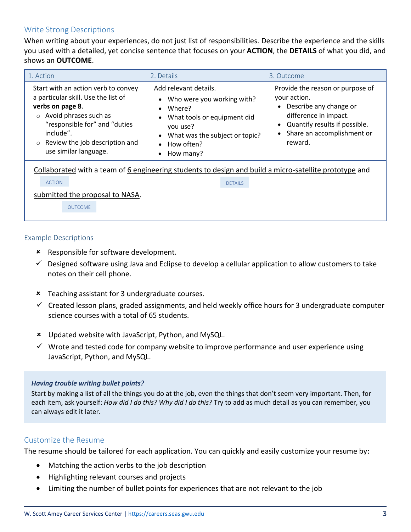## Write Strong Descriptions

When writing about your experiences, do not just list of responsibilities. Describe the experience and the skills you used with a detailed, yet concise sentence that focuses on your **ACTION**, the **DETAILS** of what you did, and shows an **OUTCOME**.

| 1. Action                                                                                                                                                                                                                                           | 2. Details                                                                                                                                                                                      | 3. Outcome                                                                                                                                                                                                           |
|-----------------------------------------------------------------------------------------------------------------------------------------------------------------------------------------------------------------------------------------------------|-------------------------------------------------------------------------------------------------------------------------------------------------------------------------------------------------|----------------------------------------------------------------------------------------------------------------------------------------------------------------------------------------------------------------------|
| Start with an action verb to convey<br>a particular skill. Use the list of<br>verbs on page 8.<br>$\circ$ Avoid phrases such as<br>"responsible for" and "duties<br>include".<br>Review the job description and<br>$\circ$<br>use similar language. | Add relevant details.<br>Who were you working with?<br>$\bullet$<br>Where?<br>What tools or equipment did<br>you use?<br>What was the subject or topic?<br>How often?<br>How many?<br>$\bullet$ | Provide the reason or purpose of<br>your action.<br>Describe any change or<br>$\bullet$<br>difference in impact.<br>Quantify results if possible.<br>$\bullet$<br>Share an accomplishment or<br>$\bullet$<br>reward. |
| <b>ACTION</b><br>submitted the proposal to NASA.<br><b>OUTCOME</b>                                                                                                                                                                                  | Collaborated with a team of 6 engineering students to design and build a micro-satellite prototype and<br><b>DETAILS</b>                                                                        |                                                                                                                                                                                                                      |

#### Example Descriptions

- **\*** Responsible for software development.
- $\checkmark$  Designed software using Java and Eclipse to develop a cellular application to allow customers to take notes on their cell phone.
- Teaching assistant for 3 undergraduate courses.
- ✓ Created lesson plans, graded assignments, and held weekly office hours for 3 undergraduate computer science courses with a total of 65 students.
- Updated website with JavaScript, Python, and MySQL.
- $\checkmark$  Wrote and tested code for company website to improve performance and user experience using JavaScript, Python, and MySQL.

#### *Having trouble writing bullet points?*

Start by making a list of all the things you do at the job, even the things that don't seem very important. Then, for each item, ask yourself: *How did I do this? Why did I do this?* Try to add as much detail as you can remember, you can always edit it later.

#### Customize the Resume

The resume should be tailored for each application. You can quickly and easily customize your resume by:

- Matching the action verbs to the job description
- Highlighting relevant courses and projects
- Limiting the number of bullet points for experiences that are not relevant to the job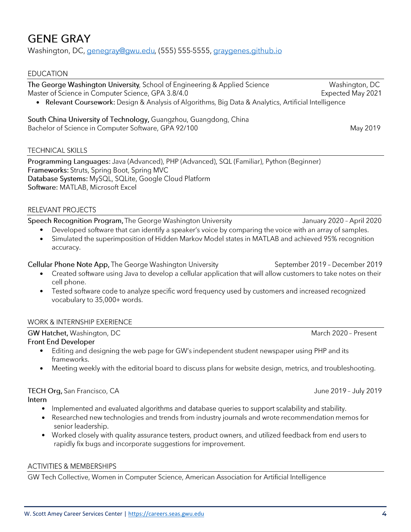## **GENE GRAY**

#### Washington, DC, genegray@gwu.edu, (555) 555-5555, graygenes.github.io

#### **EDUCATION**

The George Washington University, School of Engineering & Applied Science Master of Science in Computer Science, GPA 3.8/4.0

• Relevant Coursework: Design & Analysis of Algorithms, Big Data & Analytics, Artificial Intelligence

#### South China University of Technology, Guangzhou, Guangdong, China Bachelor of Science in Computer Software, GPA 92/100

#### **TECHNICAL SKILLS**

Programming Languages: Java (Advanced), PHP (Advanced), SQL (Familiar), Python (Beginner) Frameworks: Struts, Spring Boot, Spring MVC Database Systems: MySQL, SQLite, Google Cloud Platform Software: MATLAB, Microsoft Excel

#### RELEVANT PROJECTS

Speech Recognition Program, The George Washington University

- Developed software that can identify a speaker's voice by comparing the voice with an array of samples. •
- Simulated the superimposition of Hidden Markov Model states in MATLAB and achieved 95% recognition • accuracy.

Cellular Phone Note App, The George Washington University

- Created software using Java to develop a cellular application that will allow customers to take notes on their cell phone.
- Tested software code to analyze specific word frequency used by customers and increased recognized • vocabulary to 35,000+ words.

#### **WORK & INTERNSHIP EXERIENCE**

GW Hatchet, Washington, DC

#### **Front End Developer**

- Editing and designing the web page for GW's independent student newspaper using PHP and its frameworks.
- Meeting weekly with the editorial board to discuss plans for website design, metrics, and troubleshooting. •

#### TECH Org, San Francisco, CA Intern

- Implemented and evaluated algorithms and database queries to support scalability and stability.
- Researched new technologies and trends from industry journals and wrote recommendation memos for senior leadership.
- Worked closely with quality assurance testers, product owners, and utilized feedback from end users to rapidly fix bugs and incorporate suggestions for improvement.

#### **ACTIVITIES & MEMBERSHIPS**

GW Tech Collective, Women in Computer Science, American Association for Artificial Intelligence

March 2020 - Present

June 2019 - July 2019

January 2020 - April 2020

September 2019 - December 2019

May 2019

Washington, DC

Expected May 2021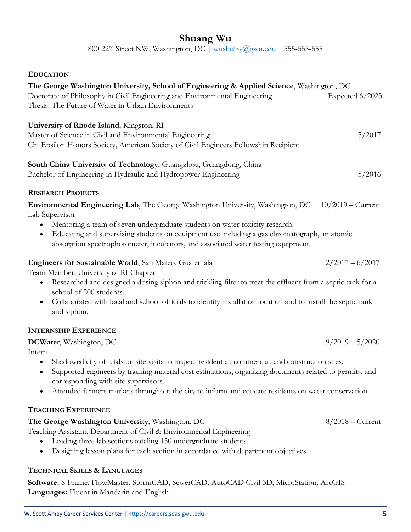## **Shuang Wu**

800 22<sup>nd</sup> Street NW, Washington, DC | [wushelby@gwu.edu](mailto:wushelby@gwu.edu) | 555-555-555

#### **EDUCATION**

| The George Washington University, School of Engineering & Applied Science, Washington, DC<br>Doctorate of Philosophy in Civil Engineering and Environmental Engineering<br>Thesis: The Future of Water in Urban Environments                                                                                                                                                                     | Expected 6/2023     |
|--------------------------------------------------------------------------------------------------------------------------------------------------------------------------------------------------------------------------------------------------------------------------------------------------------------------------------------------------------------------------------------------------|---------------------|
| University of Rhode Island, Kingston, RI<br>Master of Science in Civil and Environmental Engineering<br>Chi Epsilon Honors Society, American Society of Civil Engineers Fellowship Recipient                                                                                                                                                                                                     | 5/2017              |
| South China University of Technology, Guangzhou, Guangdong, China<br>Bachelor of Engineering in Hydraulic and Hydropower Engineering                                                                                                                                                                                                                                                             | 5/2016              |
| <b>RESEARCH PROJECTS</b>                                                                                                                                                                                                                                                                                                                                                                         |                     |
| Environmental Engineering Lab, The George Washington University, Washington, DC<br>Lab Supervisor<br>Mentoring a team of seven undergraduate students on water toxicity research.<br>$\bullet$<br>Educating and supervising students on equipment use including a gas chromatograph, an atomic<br>$\bullet$<br>absorption spectrophotometer, incubators, and associated water testing equipment. | $10/2019$ – Current |
| Engineers for Sustainable World, San Mateo, Guatemala<br>Team Member, University of RI Chapter<br>Researched and designed a dosing siphon and trickling filter to treat the effluent from a septic tank for a<br>school of 200 students.<br>Collaborated with local and school officials to identity installation location and to install the septic tank<br>$\bullet$<br>and siphon.            | $2/2017 - 6/2017$   |
| <b>INTERNSHIP EXPERIENCE</b>                                                                                                                                                                                                                                                                                                                                                                     |                     |
| DCWater, Washington, DC<br>Intern                                                                                                                                                                                                                                                                                                                                                                | $9/2019 - 5/2020$   |
| Shadowed city officials on site visits to inspect residential, commercial, and construction sites.<br>$\bullet$<br>Supported engineers by tracking material cost estimations, organizing documents related to permits, and<br>$\bullet$<br>corresponding with site supervisors.<br>Attended farmers markets throughout the city to inform and educate residents on water conservation.           |                     |
| <b>TEACHING EXPERIENCE</b>                                                                                                                                                                                                                                                                                                                                                                       |                     |
| The George Washington University, Washington, DC<br>Teaching Assistant, Department of Civil & Environmental Engineering<br>Leading three lab sections totaling 150 undergraduate students.<br>Designing lesson plans for each section in accordance with department objectives.                                                                                                                  | $8/2018$ – Current  |

## **TECHNICAL SKILLS & LANGUAGES**

**Software:** S-Frame, FlowMaster, StormCAD, SewerCAD, AutoCAD Civil 3D, MicroStation, ArcGIS **Languages:** Fluent in Mandarin and English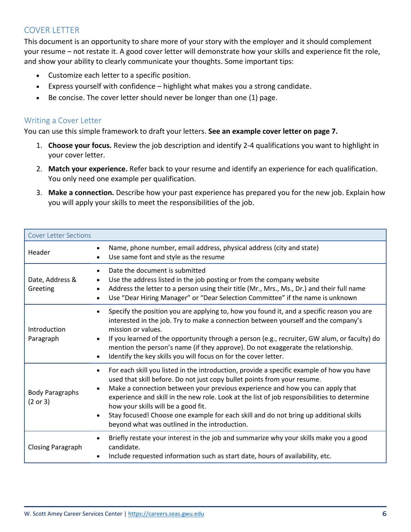## COVER LETTER

This document is an opportunity to share more of your story with the employer and it should complement your resume – not restate it. A good cover letter will demonstrate how your skills and experience fit the role, and show your ability to clearly communicate your thoughts. Some important tips:

- Customize each letter to a specific position.
- Express yourself with confidence highlight what makes you a strong candidate.
- Be concise. The cover letter should never be longer than one (1) page.

#### Writing a Cover Letter

You can use this simple framework to draft your letters. **See an example cover letter on page 7.**

- 1. **Choose your focus.** Review the job description and identify 2-4 qualifications you want to highlight in your cover letter.
- 2. **Match your experience.** Refer back to your resume and identify an experience for each qualification. You only need one example per qualification.
- 3. **Make a connection.** Describe how your past experience has prepared you for the new job. Explain how you will apply your skills to meet the responsibilities of the job.

| <b>Cover Letter Sections</b>       |                                                                                                                                                                                                                                                                                                                                                                                                                                                                                                                                                                               |
|------------------------------------|-------------------------------------------------------------------------------------------------------------------------------------------------------------------------------------------------------------------------------------------------------------------------------------------------------------------------------------------------------------------------------------------------------------------------------------------------------------------------------------------------------------------------------------------------------------------------------|
| Header                             | Name, phone number, email address, physical address (city and state)<br>Use same font and style as the resume                                                                                                                                                                                                                                                                                                                                                                                                                                                                 |
| Date, Address &<br>Greeting        | Date the document is submitted<br>Use the address listed in the job posting or from the company website<br>$\bullet$<br>Address the letter to a person using their title (Mr., Mrs., Ms., Dr.) and their full name<br>$\bullet$<br>Use "Dear Hiring Manager" or "Dear Selection Committee" if the name is unknown<br>$\bullet$                                                                                                                                                                                                                                                |
| Introduction<br>Paragraph          | Specify the position you are applying to, how you found it, and a specific reason you are<br>$\bullet$<br>interested in the job. Try to make a connection between yourself and the company's<br>mission or values.<br>If you learned of the opportunity through a person (e.g., recruiter, GW alum, or faculty) do<br>mention the person's name (if they approve). Do not exaggerate the relationship.<br>Identify the key skills you will focus on for the cover letter.                                                                                                     |
| <b>Body Paragraphs</b><br>(2 or 3) | For each skill you listed in the introduction, provide a specific example of how you have<br>$\bullet$<br>used that skill before. Do not just copy bullet points from your resume.<br>Make a connection between your previous experience and how you can apply that<br>$\bullet$<br>experience and skill in the new role. Look at the list of job responsibilities to determine<br>how your skills will be a good fit.<br>Stay focused! Choose one example for each skill and do not bring up additional skills<br>$\bullet$<br>beyond what was outlined in the introduction. |
| <b>Closing Paragraph</b>           | Briefly restate your interest in the job and summarize why your skills make you a good<br>$\bullet$<br>candidate.<br>Include requested information such as start date, hours of availability, etc.                                                                                                                                                                                                                                                                                                                                                                            |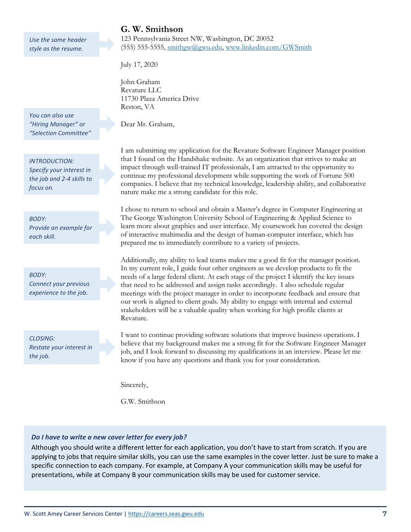*Use the same header style as the resume.*

*You can also use "Hiring Manager" or "Selection Committee"*

*INTRODUCTION: Specify your interest in the job and 2-4 skills to focus on.*

*BODY: Provide an example for each skill.*

*BODY: Connect your previous experience to the job.*

*CLOSING: Restate your interest in the job.*

## **G. W. Smithson**

123 Pennsylvania Street NW, Washington, DC 20052 (555) 555-5555, [smithgw@gwu.edu,](mailto:smithgw@gwu.edu) [www.linkedin.com/GWSmith](http://www.linkedin.com/GWSmith)

July 17, 2020

John Graham Revature LLC 11730 Plaza America Drive Reston, VA

Dear Mr. Graham,

I am submitting my application for the Revature Software Engineer Manager position that I found on the Handshake website. As an organization that strives to make an impact through well-trained IT professionals, I am attracted to the opportunity to continue my professional development while supporting the work of Fortune 500 companies. I believe that my technical knowledge, leadership ability, and collaborative nature make me a strong candidate for this role.

I chose to return to school and obtain a Master's degree in Computer Engineering at The George Washington University School of Engineering & Applied Science to learn more about graphics and user interface. My coursework has covered the design of interactive multimedia and the design of human-computer interface, which has prepared me to immediately contribute to a variety of projects.

Additionally, my ability to lead teams makes me a good fit for the manager position. In my current role, I guide four other engineers as we develop products to fit the needs of a large federal client. At each stage of the project I identify the key issues that need to be addressed and assign tasks accordingly. I also schedule regular meetings with the project manager in order to incorporate feedback and ensure that our work is aligned to client goals. My ability to engage with internal and external stakeholders will be a valuable quality when working for high profile clients at Revature.

I want to continue providing software solutions that improve business operations. I believe that my background makes me a strong fit for the Software Engineer Manager job, and I look forward to discussing my qualifications in an interview. Please let me know if you have any questions and thank you for your consideration.

Sincerely,

G.W. Smithson

#### *Do I have to write a new cover letter for every job?*

Although you should write a different letter for each application, you don't have to start from scratch. If you are applying to jobs that require similar skills, you can use the same examples in the cover letter. Just be sure to make a specific connection to each company. For example, at Company A your communication skills may be useful for presentations, while at Company B your communication skills may be used for customer service.